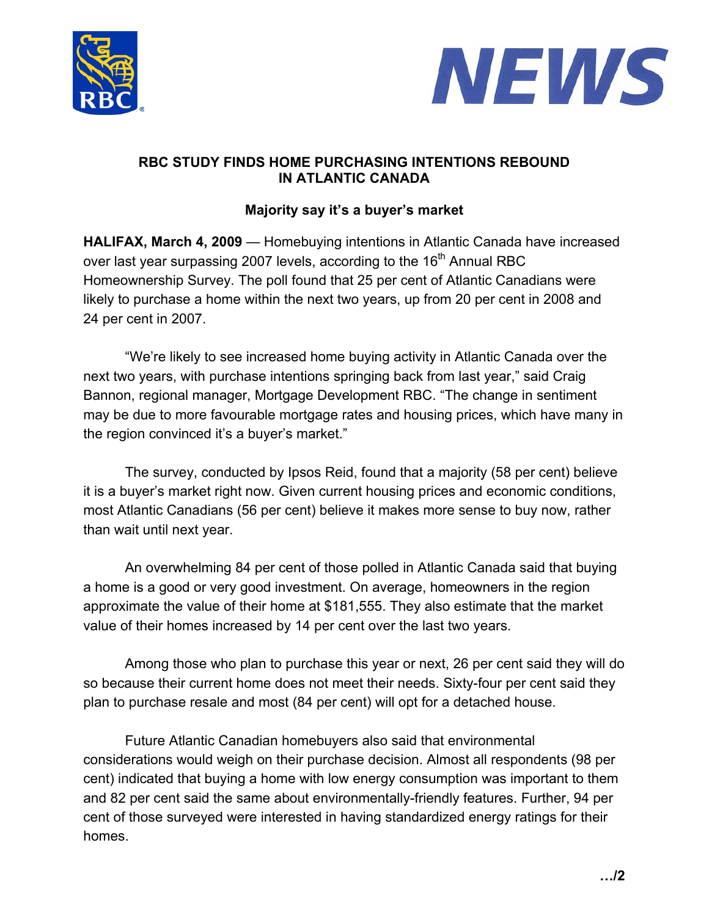



## **RBC STUDY FINDS HOME PURCHASING INTENTIONS REBOUND IN ATLANTIC CANADA**

## **Majority say it's a buyer's market**

**HALIFAX, March 4, 2009** — Homebuying intentions in Atlantic Canada have increased over last year surpassing 2007 levels, according to the 16<sup>th</sup> Annual RBC Homeownership Survey. The poll found that 25 per cent of Atlantic Canadians were likely to purchase a home within the next two years, up from 20 per cent in 2008 and 24 per cent in 2007.

"We're likely to see increased home buying activity in Atlantic Canada over the next two years, with purchase intentions springing back from last year," said Craig Bannon, regional manager, Mortgage Development RBC. "The change in sentiment may be due to more favourable mortgage rates and housing prices, which have many in the region convinced it's a buyer's market."

The survey, conducted by Ipsos Reid, found that a majority (58 per cent) believe it is a buyer's market right now. Given current housing prices and economic conditions, most Atlantic Canadians (56 per cent) believe it makes more sense to buy now, rather than wait until next year.

An overwhelming 84 per cent of those polled in Atlantic Canada said that buying a home is a good or very good investment. On average, homeowners in the region approximate the value of their home at \$181,555. They also estimate that the market value of their homes increased by 14 per cent over the last two years.

Among those who plan to purchase this year or next, 26 per cent said they will do so because their current home does not meet their needs. Sixty-four per cent said they plan to purchase resale and most (84 per cent) will opt for a detached house.

Future Atlantic Canadian homebuyers also said that environmental considerations would weigh on their purchase decision. Almost all respondents (98 per cent) indicated that buying a home with low energy consumption was important to them and 82 per cent said the same about environmentally-friendly features. Further, 94 per cent of those surveyed were interested in having standardized energy ratings for their homes.